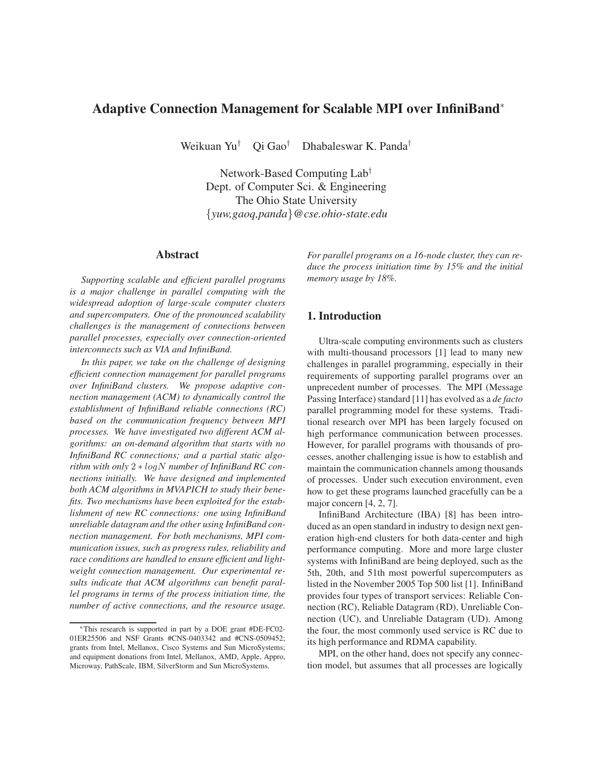# **Adaptive Connection Management for Scalable MPI over InfiniBand**<sup>∗</sup>

Weikuan Yu*†* Qi Gao*†* Dhabaleswar K. Panda*†*

Network-Based Computing Lab*†* Dept. of Computer Sci. & Engineering The Ohio State University {*yuw,gaoq,panda*}*@cse.ohio-state.edu*

# **Abstract**

*Supporting scalable and efficient parallel programs is a major challenge in parallel computing with the widespread adoption of large-scale computer clusters and supercomputers. One of the pronounced scalability challenges is the management of connections between parallel processes, especially over connection-oriented interconnects such as VIA and InfiniBand.*

*In this paper, we take on the challenge of designing efficient connection management for parallel programs over InfiniBand clusters. We propose adaptive connection management (ACM) to dynamically control the establishment of InfiniBand reliable connections (RC) based on the communication frequency between MPI processes. We have investigated two different ACM algorithms: an on-demand algorithm that starts with no InfiniBand RC connections; and a partial static algorithm with only* <sup>2</sup> <sup>∗</sup> *logN number of InfiniBand RC connections initially. We have designed and implemented both ACM algorithms in MVAPICH to study their benefits. Two mechanisms have been exploited for the establishment of new RC connections: one using InfiniBand unreliable datagram and the other using InfiniBand connection management. For both mechanisms, MPI communication issues, such as progress rules, reliability and race conditions are handled to ensure efficient and lightweight connection management. Our experimental results indicate that ACM algorithms can benefit parallel programs in terms of the process initiation time, the number of active connections, and the resource usage.*

*For parallel programs on a 16-node cluster, they can reduce the process initiation time by 15% and the initial memory usage by 18%.*

### **1. Introduction**

Ultra-scale computing environments such as clusters with multi-thousand processors [1] lead to many new challenges in parallel programming, especially in their requirements of supporting parallel programs over an unprecedent number of processes. The MPI (Message Passing Interface) standard [11] has evolved as a *de facto* parallel programming model for these systems. Traditional research over MPI has been largely focused on high performance communication between processes. However, for parallel programs with thousands of processes, another challenging issue is how to establish and maintain the communication channels among thousands of processes. Under such execution environment, even how to get these programs launched gracefully can be a major concern [4, 2, 7].

InfiniBand Architecture (IBA) [8] has been introduced as an open standard in industry to design next generation high-end clusters for both data-center and high performance computing. More and more large cluster systems with InfiniBand are being deployed, such as the 5th, 20th, and 51th most powerful supercomputers as listed in the November 2005 Top 500 list [1]. InfiniBand provides four types of transport services: Reliable Connection (RC), Reliable Datagram (RD), Unreliable Connection (UC), and Unreliable Datagram (UD). Among the four, the most commonly used service is RC due to its high performance and RDMA capability.

MPI, on the other hand, does not specify any connection model, but assumes that all processes are logically

<sup>∗</sup>This research is supported in part by a DOE grant #DE-FC02- 01ER25506 and NSF Grants #CNS-0403342 and #CNS-0509452; grants from Intel, Mellanox, Cisco Systems and Sun MicroSystems; and equipment donations from Intel, Mellanox, AMD, Apple, Appro, Microway, PathScale, IBM, SilverStorm and Sun MicroSystems.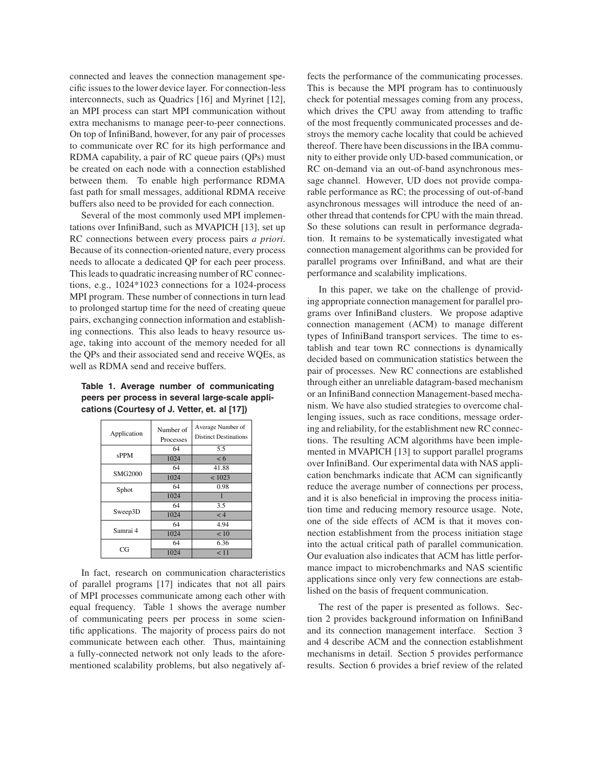connected and leaves the connection management specific issues to the lower device layer. For connection-less interconnects, such as Quadrics [16] and Myrinet [12], an MPI process can start MPI communication without extra mechanisms to manage peer-to-peer connections. On top of InfiniBand, however, for any pair of processes to communicate over RC for its high performance and RDMA capability, a pair of RC queue pairs (QPs) must be created on each node with a connection established between them. To enable high performance RDMA fast path for small messages, additional RDMA receive buffers also need to be provided for each connection.

Several of the most commonly used MPI implementations over InfiniBand, such as MVAPICH [13], set up RC connections between every process pairs *a priori*. Because of its connection-oriented nature, every process needs to allocate a dedicated QP for each peer process. This leads to quadratic increasing number of RC connections, e.g., 1024\*1023 connections for a 1024-process MPI program. These number of connections in turn lead to prolonged startup time for the need of creating queue pairs, exchanging connection information and establishing connections. This also leads to heavy resource usage, taking into account of the memory needed for all the QPs and their associated send and receive WQEs, as well as RDMA send and receive buffers.

**Table 1. Average number of communicating peers per process in several large-scale applications (Courtesy of J. Vetter, et. al [17])**

| Application    | Number of<br>Processes | Average Number of<br><b>Distinct Destinations</b> |  |  |  |
|----------------|------------------------|---------------------------------------------------|--|--|--|
| sPPM           | 64                     | 5.5                                               |  |  |  |
|                | 1024                   | < 6                                               |  |  |  |
| <b>SMG2000</b> | 64                     | 41.88                                             |  |  |  |
|                | 1024                   | < 1023                                            |  |  |  |
| Sphot          | 64                     | 0.98                                              |  |  |  |
|                | 1024                   |                                                   |  |  |  |
| Sweep3D        | 64                     | 3.5                                               |  |  |  |
|                | 1024                   | $\lt 4$                                           |  |  |  |
|                | 64                     | 4.94                                              |  |  |  |
| Samrai 4       | 1024                   | < 10                                              |  |  |  |
| CG             | 64                     | 6.36                                              |  |  |  |
|                | 1024                   | < 11                                              |  |  |  |

In fact, research on communication characteristics of parallel programs [17] indicates that not all pairs of MPI processes communicate among each other with equal frequency. Table 1 shows the average number of communicating peers per process in some scientific applications. The majority of process pairs do not communicate between each other. Thus, maintaining a fully-connected network not only leads to the aforementioned scalability problems, but also negatively af-

fects the performance of the communicating processes. This is because the MPI program has to continuously check for potential messages coming from any process, which drives the CPU away from attending to traffic of the most frequently communicated processes and destroys the memory cache locality that could be achieved thereof. There have been discussions in the IBA community to either provide only UD-based communication, or RC on-demand via an out-of-band asynchronous message channel. However, UD does not provide comparable performance as RC; the processing of out-of-band asynchronous messages will introduce the need of another thread that contends for CPU with the main thread. So these solutions can result in performance degradation. It remains to be systematically investigated what connection management algorithms can be provided for parallel programs over InfiniBand, and what are their performance and scalability implications.

In this paper, we take on the challenge of providing appropriate connection management for parallel programs over InfiniBand clusters. We propose adaptive connection management (ACM) to manage different types of InfiniBand transport services. The time to establish and tear town RC connections is dynamically decided based on communication statistics between the pair of processes. New RC connections are established through either an unreliable datagram-based mechanism or an InfiniBand connection Management-based mechanism. We have also studied strategies to overcome challenging issues, such as race conditions, message ordering and reliability, for the establishment new RC connections. The resulting ACM algorithms have been implemented in MVAPICH [13] to support parallel programs over InfiniBand. Our experimental data with NAS application benchmarks indicate that ACM can significantly reduce the average number of connections per process, and it is also beneficial in improving the process initiation time and reducing memory resource usage. Note, one of the side effects of ACM is that it moves connection establishment from the process initiation stage into the actual critical path of parallel communication. Our evaluation also indicates that ACM has little performance impact to microbenchmarks and NAS scientific applications since only very few connections are established on the basis of frequent communication.

The rest of the paper is presented as follows. Section 2 provides background information on InfiniBand and its connection management interface. Section 3 and 4 describe ACM and the connection establishment mechanisms in detail. Section 5 provides performance results. Section 6 provides a brief review of the related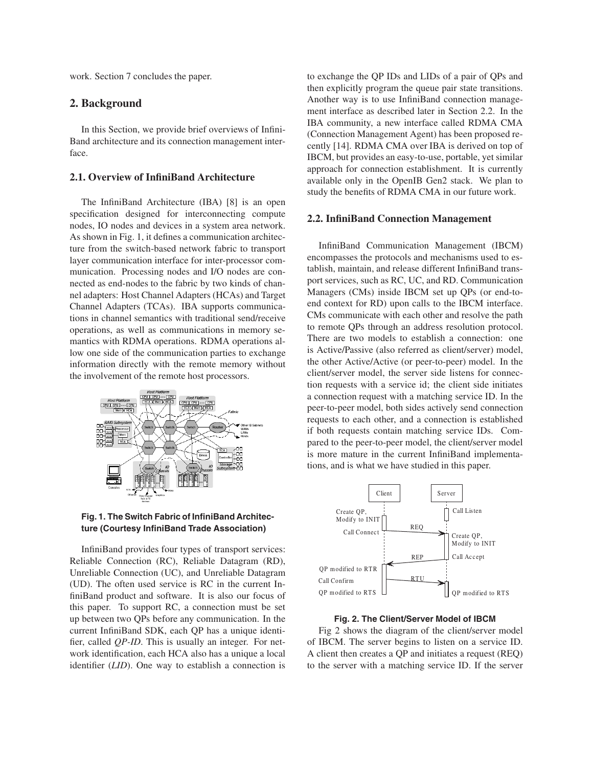work. Section 7 concludes the paper.

### **2. Background**

In this Section, we provide brief overviews of Infini-Band architecture and its connection management interface.

### **2.1. Overview of InfiniBand Architecture**

The InfiniBand Architecture (IBA) [8] is an open specification designed for interconnecting compute nodes, IO nodes and devices in a system area network. As shown in Fig. 1, it defines a communication architecture from the switch-based network fabric to transport layer communication interface for inter-processor communication. Processing nodes and I/O nodes are connected as end-nodes to the fabric by two kinds of channel adapters: Host Channel Adapters (HCAs) and Target Channel Adapters (TCAs). IBA supports communications in channel semantics with traditional send/receive operations, as well as communications in memory semantics with RDMA operations. RDMA operations allow one side of the communication parties to exchange information directly with the remote memory without the involvement of the remote host processors.



**Fig. 1. The Switch Fabric of InfiniBand Architecture (Courtesy InfiniBand Trade Association)**

InfiniBand provides four types of transport services: Reliable Connection (RC), Reliable Datagram (RD), Unreliable Connection (UC), and Unreliable Datagram (UD). The often used service is RC in the current InfiniBand product and software. It is also our focus of this paper. To support RC, a connection must be set up between two QPs before any communication. In the current InfiniBand SDK, each QP has a unique identifier, called *QP-ID*. This is usually an integer. For network identification, each HCA also has a unique a local identifier (*LID*). One way to establish a connection is

to exchange the QP IDs and LIDs of a pair of QPs and then explicitly program the queue pair state transitions. Another way is to use InfiniBand connection management interface as described later in Section 2.2. In the IBA community, a new interface called RDMA CMA (Connection Management Agent) has been proposed recently [14]. RDMA CMA over IBA is derived on top of IBCM, but provides an easy-to-use, portable, yet similar approach for connection establishment. It is currently available only in the OpenIB Gen2 stack. We plan to study the benefits of RDMA CMA in our future work.

#### **2.2. InfiniBand Connection Management**

InfiniBand Communication Management (IBCM) encompasses the protocols and mechanisms used to establish, maintain, and release different InfiniBand transport services, such as RC, UC, and RD. Communication Managers (CMs) inside IBCM set up QPs (or end-toend context for RD) upon calls to the IBCM interface. CMs communicate with each other and resolve the path to remote QPs through an address resolution protocol. There are two models to establish a connection: one is Active/Passive (also referred as client/server) model, the other Active/Active (or peer-to-peer) model. In the client/server model, the server side listens for connection requests with a service id; the client side initiates a connection request with a matching service ID. In the peer-to-peer model, both sides actively send connection requests to each other, and a connection is established if both requests contain matching service IDs. Compared to the peer-to-peer model, the client/server model is more mature in the current InfiniBand implementations, and is what we have studied in this paper.



#### **Fig. 2. The Client/Server Model of IBCM**

Fig 2 shows the diagram of the client/server model of IBCM. The server begins to listen on a service ID. A client then creates a QP and initiates a request (REQ) to the server with a matching service ID. If the server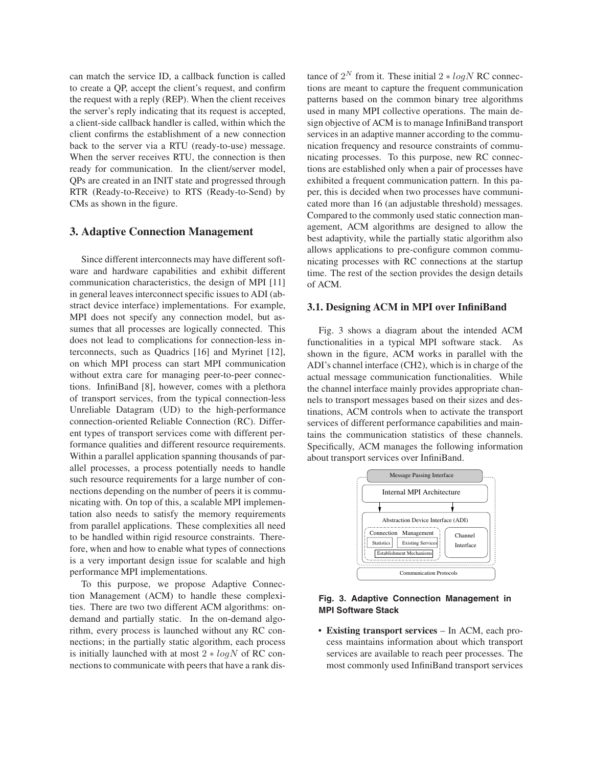can match the service ID, a callback function is called to create a QP, accept the client's request, and confirm the request with a reply (REP). When the client receives the server's reply indicating that its request is accepted, a client-side callback handler is called, within which the client confirms the establishment of a new connection back to the server via a RTU (ready-to-use) message. When the server receives RTU, the connection is then ready for communication. In the client/server model, QPs are created in an INIT state and progressed through RTR (Ready-to-Receive) to RTS (Ready-to-Send) by CMs as shown in the figure.

## **3. Adaptive Connection Management**

Since different interconnects may have different software and hardware capabilities and exhibit different communication characteristics, the design of MPI [11] in general leaves interconnect specific issues to ADI (abstract device interface) implementations. For example, MPI does not specify any connection model, but assumes that all processes are logically connected. This does not lead to complications for connection-less interconnects, such as Quadrics [16] and Myrinet [12], on which MPI process can start MPI communication without extra care for managing peer-to-peer connections. InfiniBand [8], however, comes with a plethora of transport services, from the typical connection-less Unreliable Datagram (UD) to the high-performance connection-oriented Reliable Connection (RC). Different types of transport services come with different performance qualities and different resource requirements. Within a parallel application spanning thousands of parallel processes, a process potentially needs to handle such resource requirements for a large number of connections depending on the number of peers it is communicating with. On top of this, a scalable MPI implementation also needs to satisfy the memory requirements from parallel applications. These complexities all need to be handled within rigid resource constraints. Therefore, when and how to enable what types of connections is a very important design issue for scalable and high performance MPI implementations.

To this purpose, we propose Adaptive Connection Management (ACM) to handle these complexities. There are two two different ACM algorithms: ondemand and partially static. In the on-demand algorithm, every process is launched without any RC connections; in the partially static algorithm, each process is initially launched with at most <sup>2</sup> <sup>∗</sup> *logN* of RC connections to communicate with peers that have a rank distance of  $2^N$  from it. These initial  $2 * logN$  RC connections are meant to capture the frequent communication patterns based on the common binary tree algorithms used in many MPI collective operations. The main design objective of ACM is to manage InfiniBand transport services in an adaptive manner according to the communication frequency and resource constraints of communicating processes. To this purpose, new RC connections are established only when a pair of processes have exhibited a frequent communication pattern. In this paper, this is decided when two processes have communicated more than 16 (an adjustable threshold) messages. Compared to the commonly used static connection management, ACM algorithms are designed to allow the best adaptivity, while the partially static algorithm also allows applications to pre-configure common communicating processes with RC connections at the startup time. The rest of the section provides the design details of ACM.

#### **3.1. Designing ACM in MPI over InfiniBand**

Fig. 3 shows a diagram about the intended ACM functionalities in a typical MPI software stack. As shown in the figure, ACM works in parallel with the ADI's channel interface (CH2), which is in charge of the actual message communication functionalities. While the channel interface mainly provides appropriate channels to transport messages based on their sizes and destinations, ACM controls when to activate the transport services of different performance capabilities and maintains the communication statistics of these channels. Specifically, ACM manages the following information about transport services over InfiniBand.



### **Fig. 3. Adaptive Connection Management in MPI Software Stack**

• **Existing transport services** – In ACM, each process maintains information about which transport services are available to reach peer processes. The most commonly used InfiniBand transport services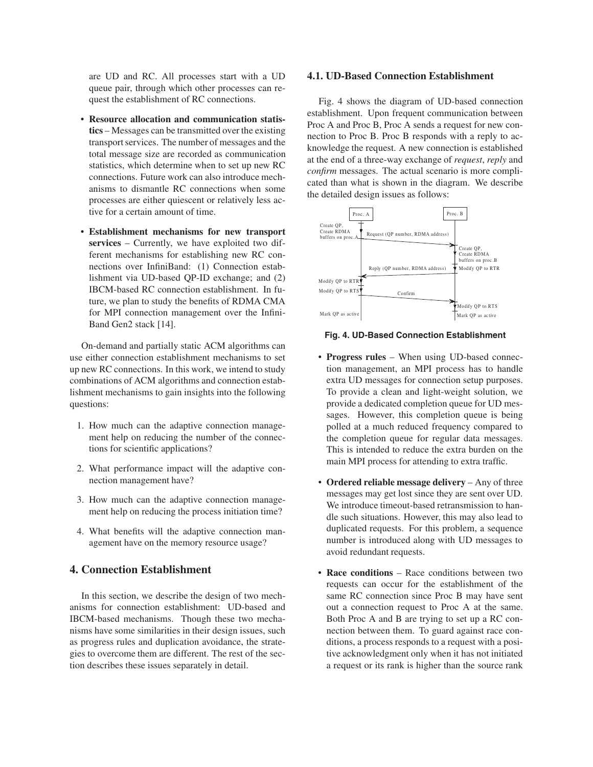are UD and RC. All processes start with a UD queue pair, through which other processes can request the establishment of RC connections.

- **Resource allocation and communication statistics** – Messages can be transmitted over the existing transport services. The number of messages and the total message size are recorded as communication statistics, which determine when to set up new RC connections. Future work can also introduce mechanisms to dismantle RC connections when some processes are either quiescent or relatively less active for a certain amount of time.
- **Establishment mechanisms for new transport services** – Currently, we have exploited two different mechanisms for establishing new RC connections over InfiniBand: (1) Connection establishment via UD-based QP-ID exchange; and (2) IBCM-based RC connection establishment. In future, we plan to study the benefits of RDMA CMA for MPI connection management over the Infini-Band Gen2 stack [14].

On-demand and partially static ACM algorithms can use either connection establishment mechanisms to set up new RC connections. In this work, we intend to study combinations of ACM algorithms and connection establishment mechanisms to gain insights into the following questions:

- 1. How much can the adaptive connection management help on reducing the number of the connections for scientific applications?
- 2. What performance impact will the adaptive connection management have?
- 3. How much can the adaptive connection management help on reducing the process initiation time?
- 4. What benefits will the adaptive connection management have on the memory resource usage?

# **4. Connection Establishment**

In this section, we describe the design of two mechanisms for connection establishment: UD-based and IBCM-based mechanisms. Though these two mechanisms have some similarities in their design issues, such as progress rules and duplication avoidance, the strategies to overcome them are different. The rest of the section describes these issues separately in detail.

#### **4.1. UD-Based Connection Establishment**

Fig. 4 shows the diagram of UD-based connection establishment. Upon frequent communication between Proc A and Proc B, Proc A sends a request for new connection to Proc B. Proc B responds with a reply to acknowledge the request. A new connection is established at the end of a three-way exchange of *request*, *reply* and *confirm* messages. The actual scenario is more complicated than what is shown in the diagram. We describe the detailed design issues as follows:



#### **Fig. 4. UD-Based Connection Establishment**

- **Progress rules** When using UD-based connection management, an MPI process has to handle extra UD messages for connection setup purposes. To provide a clean and light-weight solution, we provide a dedicated completion queue for UD messages. However, this completion queue is being polled at a much reduced frequency compared to the completion queue for regular data messages. This is intended to reduce the extra burden on the main MPI process for attending to extra traffic.
- **Ordered reliable message delivery** Any of three messages may get lost since they are sent over UD. We introduce timeout-based retransmission to handle such situations. However, this may also lead to duplicated requests. For this problem, a sequence number is introduced along with UD messages to avoid redundant requests.
- **Race conditions** Race conditions between two requests can occur for the establishment of the same RC connection since Proc B may have sent out a connection request to Proc A at the same. Both Proc A and B are trying to set up a RC connection between them. To guard against race conditions, a process responds to a request with a positive acknowledgment only when it has not initiated a request or its rank is higher than the source rank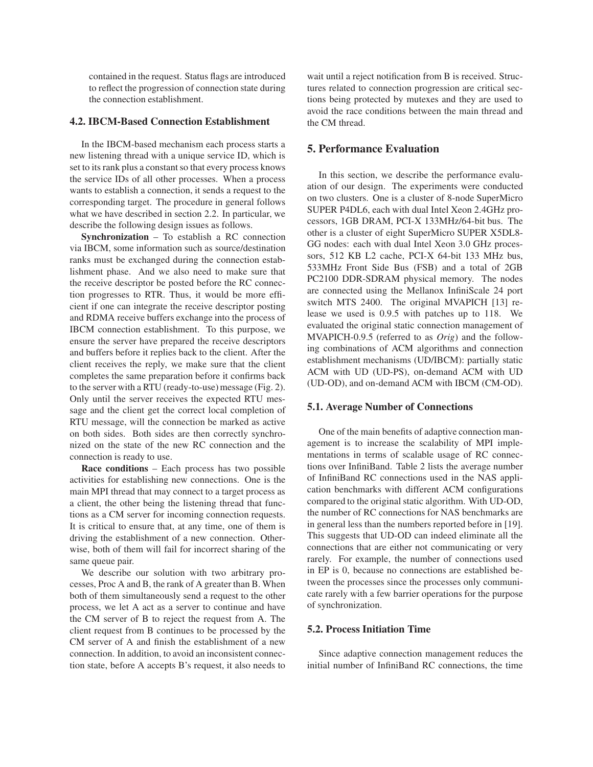contained in the request. Status flags are introduced to reflect the progression of connection state during the connection establishment.

#### **4.2. IBCM-Based Connection Establishment**

In the IBCM-based mechanism each process starts a new listening thread with a unique service ID, which is set to its rank plus a constant so that every process knows the service IDs of all other processes. When a process wants to establish a connection, it sends a request to the corresponding target. The procedure in general follows what we have described in section 2.2. In particular, we describe the following design issues as follows.

**Synchronization** – To establish a RC connection via IBCM, some information such as source/destination ranks must be exchanged during the connection establishment phase. And we also need to make sure that the receive descriptor be posted before the RC connection progresses to RTR. Thus, it would be more efficient if one can integrate the receive descriptor posting and RDMA receive buffers exchange into the process of IBCM connection establishment. To this purpose, we ensure the server have prepared the receive descriptors and buffers before it replies back to the client. After the client receives the reply, we make sure that the client completes the same preparation before it confirms back to the server with a RTU (ready-to-use) message (Fig. 2). Only until the server receives the expected RTU message and the client get the correct local completion of RTU message, will the connection be marked as active on both sides. Both sides are then correctly synchronized on the state of the new RC connection and the connection is ready to use.

**Race conditions** – Each process has two possible activities for establishing new connections. One is the main MPI thread that may connect to a target process as a client, the other being the listening thread that functions as a CM server for incoming connection requests. It is critical to ensure that, at any time, one of them is driving the establishment of a new connection. Otherwise, both of them will fail for incorrect sharing of the same queue pair.

We describe our solution with two arbitrary processes, Proc A and B, the rank of A greater than B. When both of them simultaneously send a request to the other process, we let A act as a server to continue and have the CM server of B to reject the request from A. The client request from B continues to be processed by the CM server of A and finish the establishment of a new connection. In addition, to avoid an inconsistent connection state, before A accepts B's request, it also needs to

wait until a reject notification from B is received. Structures related to connection progression are critical sections being protected by mutexes and they are used to avoid the race conditions between the main thread and the CM thread.

# **5. Performance Evaluation**

In this section, we describe the performance evaluation of our design. The experiments were conducted on two clusters. One is a cluster of 8-node SuperMicro SUPER P4DL6, each with dual Intel Xeon 2.4GHz processors, 1GB DRAM, PCI-X 133MHz/64-bit bus. The other is a cluster of eight SuperMicro SUPER X5DL8- GG nodes: each with dual Intel Xeon 3.0 GHz processors, 512 KB L2 cache, PCI-X 64-bit 133 MHz bus, 533MHz Front Side Bus (FSB) and a total of 2GB PC2100 DDR-SDRAM physical memory. The nodes are connected using the Mellanox InfiniScale 24 port switch MTS 2400. The original MVAPICH [13] release we used is 0.9.5 with patches up to 118. We evaluated the original static connection management of MVAPICH-0.9.5 (referred to as *Orig*) and the following combinations of ACM algorithms and connection establishment mechanisms (UD/IBCM): partially static ACM with UD (UD-PS), on-demand ACM with UD (UD-OD), and on-demand ACM with IBCM (CM-OD).

#### **5.1. Average Number of Connections**

One of the main benefits of adaptive connection management is to increase the scalability of MPI implementations in terms of scalable usage of RC connections over InfiniBand. Table 2 lists the average number of InfiniBand RC connections used in the NAS application benchmarks with different ACM configurations compared to the original static algorithm. With UD-OD, the number of RC connections for NAS benchmarks are in general less than the numbers reported before in [19]. This suggests that UD-OD can indeed eliminate all the connections that are either not communicating or very rarely. For example, the number of connections used in EP is 0, because no connections are established between the processes since the processes only communicate rarely with a few barrier operations for the purpose of synchronization.

# **5.2. Process Initiation Time**

Since adaptive connection management reduces the initial number of InfiniBand RC connections, the time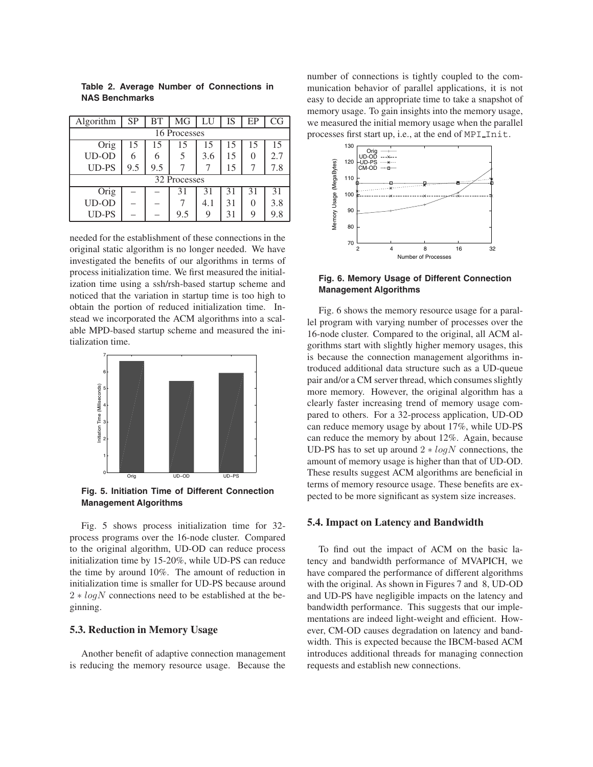| Algorithm    | <b>SP</b> | BT  | MG  | LU  | IS | EP       | CG  |  |  |
|--------------|-----------|-----|-----|-----|----|----------|-----|--|--|
| 16 Processes |           |     |     |     |    |          |     |  |  |
| Orig         | 15        | 15  | 15  | 15  | 15 | 15       | 15  |  |  |
| UD-OD        | 6         | 6   |     | 3.6 | 15 | 0        | 2.7 |  |  |
| <b>UD-PS</b> | 9.5       | 9.5 |     |     | 15 |          | 7.8 |  |  |
| 32 Processes |           |     |     |     |    |          |     |  |  |
| Orig         |           |     | 31  | 31  | 31 | 31       | 31  |  |  |
| UD-OD        |           |     |     | 4.1 | 31 | $\Omega$ | 3.8 |  |  |
| <b>UD-PS</b> |           |     | 9.5 | 9   | 31 | 9        | 9.8 |  |  |

**Table 2. Average Number of Connections in NAS Benchmarks**

needed for the establishment of these connections in the original static algorithm is no longer needed. We have investigated the benefits of our algorithms in terms of process initialization time. We first measured the initialization time using a ssh/rsh-based startup scheme and noticed that the variation in startup time is too high to obtain the portion of reduced initialization time. Instead we incorporated the ACM algorithms into a scalable MPD-based startup scheme and measured the initialization time.



**Fig. 5. Initiation Time of Different Connection Management Algorithms**

Fig. 5 shows process initialization time for 32 process programs over the 16-node cluster. Compared to the original algorithm, UD-OD can reduce process initialization time by 15-20%, while UD-PS can reduce the time by around 10%. The amount of reduction in initialization time is smaller for UD-PS because around <sup>2</sup> <sup>∗</sup> *logN* connections need to be established at the beginning.

### **5.3. Reduction in Memory Usage**

Another benefit of adaptive connection management is reducing the memory resource usage. Because the

number of connections is tightly coupled to the communication behavior of parallel applications, it is not easy to decide an appropriate time to take a snapshot of memory usage. To gain insights into the memory usage, we measured the initial memory usage when the parallel processes first start up, i.e., at the end of MPI\_Init.



**Fig. 6. Memory Usage of Different Connection Management Algorithms**

Fig. 6 shows the memory resource usage for a parallel program with varying number of processes over the 16-node cluster. Compared to the original, all ACM algorithms start with slightly higher memory usages, this is because the connection management algorithms introduced additional data structure such as a UD-queue pair and/or a CM server thread, which consumes slightly more memory. However, the original algorithm has a clearly faster increasing trend of memory usage compared to others. For a 32-process application, UD-OD can reduce memory usage by about 17%, while UD-PS can reduce the memory by about 12%. Again, because UD-PS has to set up around <sup>2</sup> <sup>∗</sup> *logN* connections, the amount of memory usage is higher than that of UD-OD. These results suggest ACM algorithms are beneficial in terms of memory resource usage. These benefits are expected to be more significant as system size increases.

#### **5.4. Impact on Latency and Bandwidth**

To find out the impact of ACM on the basic latency and bandwidth performance of MVAPICH, we have compared the performance of different algorithms with the original. As shown in Figures 7 and 8, UD-OD and UD-PS have negligible impacts on the latency and bandwidth performance. This suggests that our implementations are indeed light-weight and efficient. However, CM-OD causes degradation on latency and bandwidth. This is expected because the IBCM-based ACM introduces additional threads for managing connection requests and establish new connections.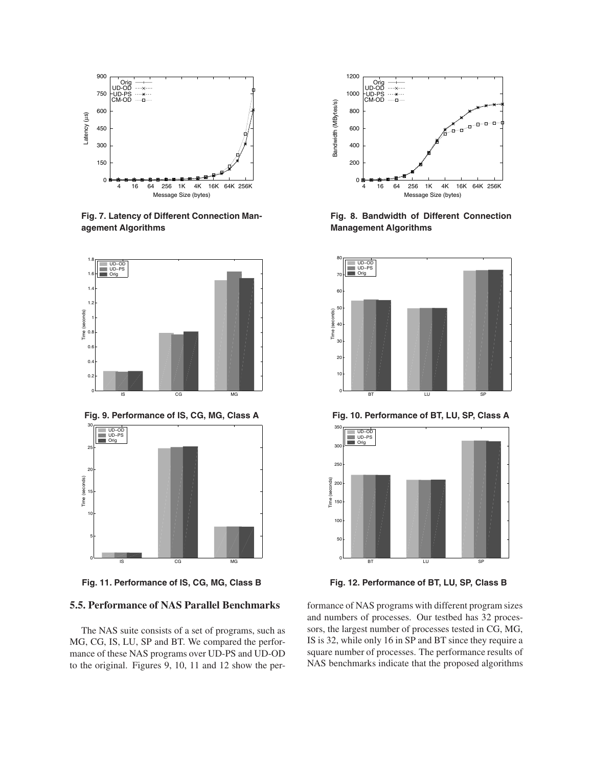

**Fig. 7. Latency of Different Connection Management Algorithms**



**Fig. 9. Performance of IS, CG, MG, Class A**





# **5.5. Performance of NAS Parallel Benchmarks**

The NAS suite consists of a set of programs, such as MG, CG, IS, LU, SP and BT. We compared the performance of these NAS programs over UD-PS and UD-OD to the original. Figures 9, 10, 11 and 12 show the per-



**Fig. 8. Bandwidth of Different Connection Management Algorithms**



**Fig. 10. Performance of BT, LU, SP, Class A**



**Fig. 12. Performance of BT, LU, SP, Class B**

formance of NAS programs with different program sizes and numbers of processes. Our testbed has 32 processors, the largest number of processes tested in CG, MG, IS is 32, while only 16 in SP and BT since they require a square number of processes. The performance results of NAS benchmarks indicate that the proposed algorithms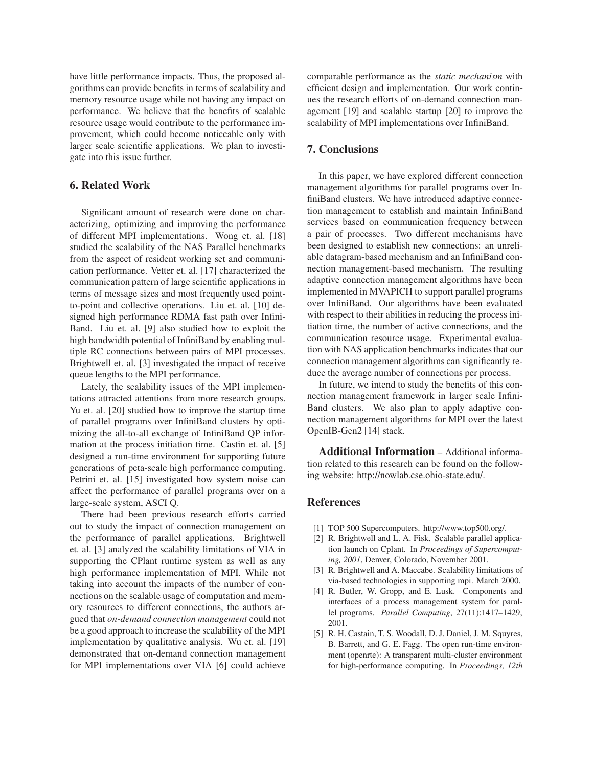have little performance impacts. Thus, the proposed algorithms can provide benefits in terms of scalability and memory resource usage while not having any impact on performance. We believe that the benefits of scalable resource usage would contribute to the performance improvement, which could become noticeable only with larger scale scientific applications. We plan to investigate into this issue further.

### **6. Related Work**

Significant amount of research were done on characterizing, optimizing and improving the performance of different MPI implementations. Wong et. al. [18] studied the scalability of the NAS Parallel benchmarks from the aspect of resident working set and communication performance. Vetter et. al. [17] characterized the communication pattern of large scientific applications in terms of message sizes and most frequently used pointto-point and collective operations. Liu et. al. [10] designed high performance RDMA fast path over Infini-Band. Liu et. al. [9] also studied how to exploit the high bandwidth potential of InfiniBand by enabling multiple RC connections between pairs of MPI processes. Brightwell et. al. [3] investigated the impact of receive queue lengths to the MPI performance.

Lately, the scalability issues of the MPI implementations attracted attentions from more research groups. Yu et. al. [20] studied how to improve the startup time of parallel programs over InfiniBand clusters by optimizing the all-to-all exchange of InfiniBand QP information at the process initiation time. Castin et. al. [5] designed a run-time environment for supporting future generations of peta-scale high performance computing. Petrini et. al. [15] investigated how system noise can affect the performance of parallel programs over on a large-scale system, ASCI Q.

There had been previous research efforts carried out to study the impact of connection management on the performance of parallel applications. Brightwell et. al. [3] analyzed the scalability limitations of VIA in supporting the CPlant runtime system as well as any high performance implementation of MPI. While not taking into account the impacts of the number of connections on the scalable usage of computation and memory resources to different connections, the authors argued that *on-demand connection management* could not be a good approach to increase the scalability of the MPI implementation by qualitative analysis. Wu et. al. [19] demonstrated that on-demand connection management for MPI implementations over VIA [6] could achieve comparable performance as the *static mechanism* with efficient design and implementation. Our work continues the research efforts of on-demand connection management [19] and scalable startup [20] to improve the scalability of MPI implementations over InfiniBand.

# **7. Conclusions**

In this paper, we have explored different connection management algorithms for parallel programs over InfiniBand clusters. We have introduced adaptive connection management to establish and maintain InfiniBand services based on communication frequency between a pair of processes. Two different mechanisms have been designed to establish new connections: an unreliable datagram-based mechanism and an InfiniBand connection management-based mechanism. The resulting adaptive connection management algorithms have been implemented in MVAPICH to support parallel programs over InfiniBand. Our algorithms have been evaluated with respect to their abilities in reducing the process initiation time, the number of active connections, and the communication resource usage. Experimental evaluation with NAS application benchmarks indicates that our connection management algorithms can significantly reduce the average number of connections per process.

In future, we intend to study the benefits of this connection management framework in larger scale Infini-Band clusters. We also plan to apply adaptive connection management algorithms for MPI over the latest OpenIB-Gen2 [14] stack.

**Additional Information** – Additional information related to this research can be found on the following website: http://nowlab.cse.ohio-state.edu/.

### **References**

- [1] TOP 500 Supercomputers. http://www.top500.org/.
- [2] R. Brightwell and L. A. Fisk. Scalable parallel application launch on Cplant. In *Proceedings of Supercomputing, 2001*, Denver, Colorado, November 2001.
- [3] R. Brightwell and A. Maccabe. Scalability limitations of via-based technologies in supporting mpi. March 2000.
- [4] R. Butler, W. Gropp, and E. Lusk. Components and interfaces of a process management system for parallel programs. *Parallel Computing*, 27(11):1417–1429, 2001.
- [5] R. H. Castain, T. S. Woodall, D. J. Daniel, J. M. Squyres, B. Barrett, and G. E. Fagg. The open run-time environment (openrte): A transparent multi-cluster environment for high-performance computing. In *Proceedings, 12th*